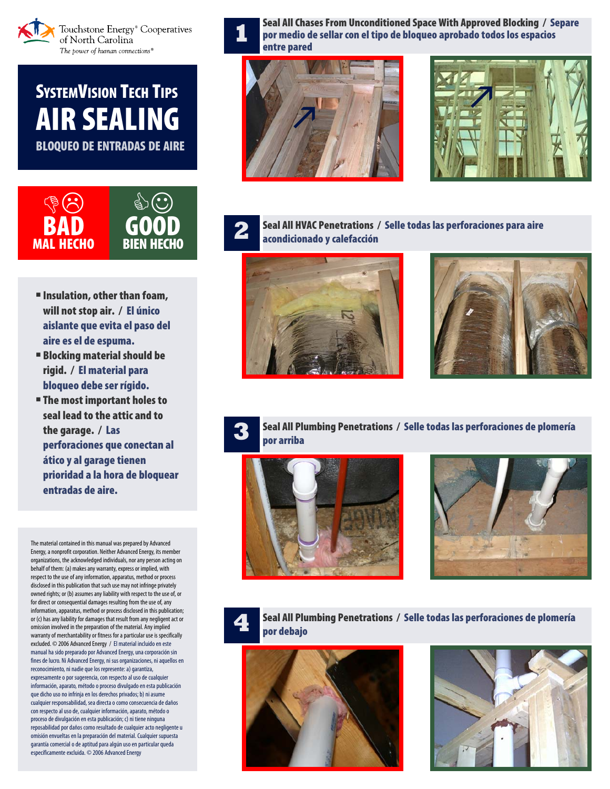

**SYSTEMVISION TECH TIPS** AIR SEALING BLOQUEO DE ENTRADAS DE AIRE



- Insulation, other than foam, will not stop air. / El único aislante que evita el paso del aire es el de espuma.
- Blocking material should be rigid. / El material para bloqueo debe ser rígido.
- **The most important holes to** seal lead to the attic and to the garage. / Las perforaciones que conectan al ático y al garage tienen prioridad a la hora de bloquear entradas de aire.

The material contained in this manual was prepared by Advanced Energy, a nonprofit corporation. Neither Advanced Energy, its member organizations, the acknowledged individuals, nor any person acting on behalf of them: (a) makes any warranty, express or implied, with respect to the use of any information, apparatus, method or process disclosed in this publication that such use may not infringe privately owned rights; or (b) assumes any liability with respect to the use of, or for direct or consequential damages resulting from the use of, any information, apparatus, method or process disclosed in this publication; or (c) has any liability for damages that result from any negligent act or omission involved in the preparation of the material. Any implied warranty of merchantability or fitness for a particular use is specifically excluded. © 2006 Advanced Energy / El material incluido en este manual ha sido preparado por Advanced Energy, una corporación sin fines de lucro. Ni Advanced Energy, ni sus organizaciones, ni aquellos en reconocimiento, ni nadie que los represente: a) garantiza, expresamente o por sugerencia, con respecto al uso de cualquier información, aparato, método o proceso divulgado en esta publicación que dicho uso no infrinja en los derechos privados; b) ni asume cualquier responsabilidad, sea directa o como consecuencia de daños con respecto al uso de, cualquier información, aparato, método o proceso de divulgación en esta publicación; c) ni tiene ninguna reposabilidad por daños como resultado de cualquier acto negligente u omisión envueltas en la preparación del material. Cualquier supuesta garantía comercial o de aptitud para algún uso en particular queda específicamente excluida. © 2006 Advanced Energy

**1** Seal All Chases From Unconditioned Space With Approved Blocking / Separe<br>por medio de sellar con el tipo de bloqueo aprobado todos los espacios<br>entre parad entre pared







**2** Seal All HVAC Penetrations / Selle todas las perforaciones para aire acondicionado y calefacción





**3** Seal All Plumbing Penetrations / Selle todas las perforaciones de plomería por arriba







**4** Seal All Plumbing Penetrations / Selle todas las perforaciones de plomería por debajo